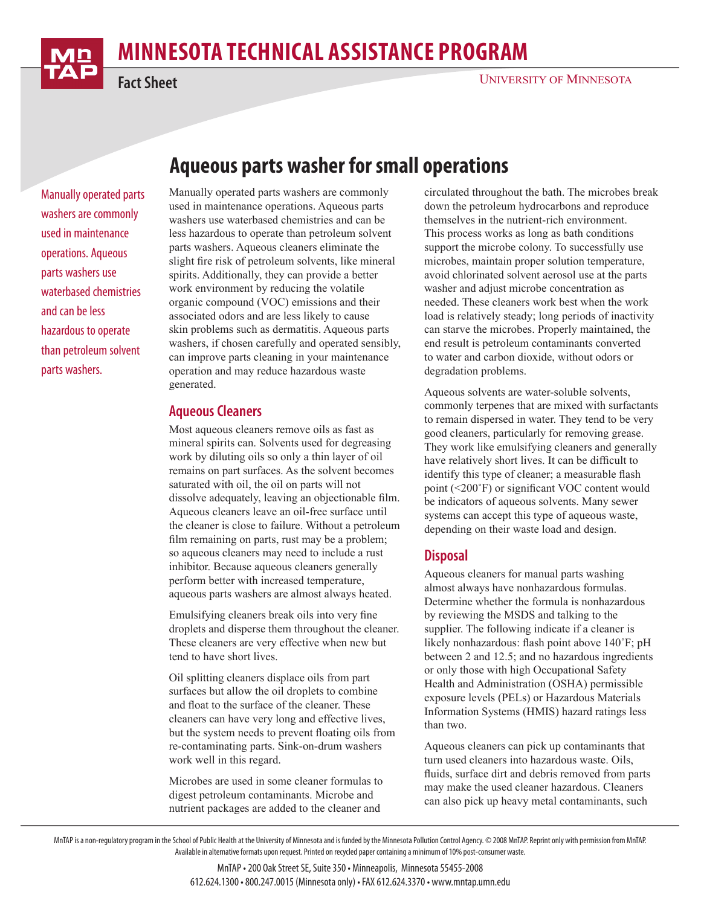

# **minnesota Technical Assistance Program**

**Fact Sheet**

Manually operated parts washers are commonly used in maintenance operations. Aqueous parts washers use waterbased chemistries and can be less hazardous to operate than petroleum solvent parts washers.

# **Aqueous parts washer for small operations**

Manually operated parts washers are commonly used in maintenance operations. Aqueous parts washers use waterbased chemistries and can be less hazardous to operate than petroleum solvent parts washers. Aqueous cleaners eliminate the slight fire risk of petroleum solvents, like mineral spirits. Additionally, they can provide a better work environment by reducing the volatile organic compound (VOC) emissions and their associated odors and are less likely to cause skin problems such as dermatitis. Aqueous parts washers, if chosen carefully and operated sensibly, can improve parts cleaning in your maintenance operation and may reduce hazardous waste generated.

#### **Aqueous Cleaners**

Most aqueous cleaners remove oils as fast as mineral spirits can. Solvents used for degreasing work by diluting oils so only a thin layer of oil remains on part surfaces. As the solvent becomes saturated with oil, the oil on parts will not dissolve adequately, leaving an objectionable film. Aqueous cleaners leave an oil-free surface until the cleaner is close to failure. Without a petroleum film remaining on parts, rust may be a problem; so aqueous cleaners may need to include a rust inhibitor. Because aqueous cleaners generally perform better with increased temperature, aqueous parts washers are almost always heated.

Emulsifying cleaners break oils into very fine droplets and disperse them throughout the cleaner. These cleaners are very effective when new but tend to have short lives.

Oil splitting cleaners displace oils from part surfaces but allow the oil droplets to combine and float to the surface of the cleaner. These cleaners can have very long and effective lives, but the system needs to prevent floating oils from re-contaminating parts. Sink-on-drum washers work well in this regard.

Microbes are used in some cleaner formulas to digest petroleum contaminants. Microbe and nutrient packages are added to the cleaner and

circulated throughout the bath. The microbes break down the petroleum hydrocarbons and reproduce themselves in the nutrient-rich environment. This process works as long as bath conditions support the microbe colony. To successfully use microbes, maintain proper solution temperature, avoid chlorinated solvent aerosol use at the parts washer and adjust microbe concentration as needed. These cleaners work best when the work load is relatively steady; long periods of inactivity can starve the microbes. Properly maintained, the end result is petroleum contaminants converted to water and carbon dioxide, without odors or degradation problems.

Aqueous solvents are water-soluble solvents, commonly terpenes that are mixed with surfactants to remain dispersed in water. They tend to be very good cleaners, particularly for removing grease. They work like emulsifying cleaners and generally have relatively short lives. It can be difficult to identify this type of cleaner; a measurable flash point (<200˚F) or significant VOC content would be indicators of aqueous solvents. Many sewer systems can accept this type of aqueous waste, depending on their waste load and design.

#### **Disposal**

Aqueous cleaners for manual parts washing almost always have nonhazardous formulas. Determine whether the formula is nonhazardous by reviewing the MSDS and talking to the supplier. The following indicate if a cleaner is likely nonhazardous: flash point above 140˚F; pH between 2 and 12.5; and no hazardous ingredients or only those with high Occupational Safety Health and Administration (OSHA) permissible exposure levels (PELs) or Hazardous Materials Information Systems (HMIS) hazard ratings less than two.

Aqueous cleaners can pick up contaminants that turn used cleaners into hazardous waste. Oils, fluids, surface dirt and debris removed from parts may make the used cleaner hazardous. Cleaners can also pick up heavy metal contaminants, such

MnTAP is a non-regulatory program in the School of Public Health at the University of Minnesota and is funded by the Minnesota Pollution Control Agency. © 2008 MnTAP. Reprint only with permission from MnTAP. Available in alternative formats upon request. Printed on recycled paper containing a minimum of 10% post-consumer waste.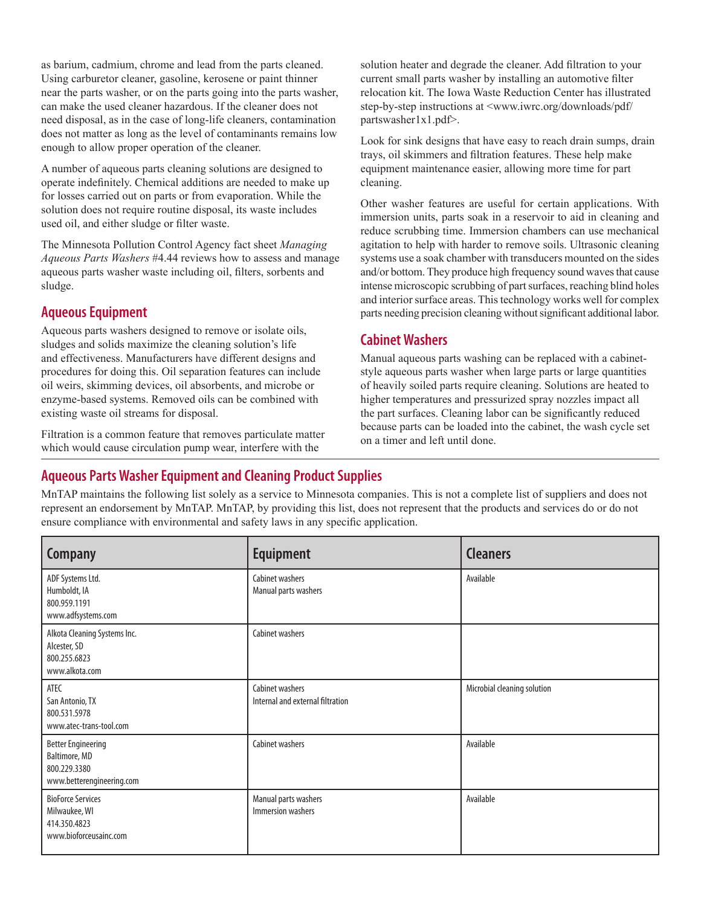as barium, cadmium, chrome and lead from the parts cleaned. Using carburetor cleaner, gasoline, kerosene or paint thinner near the parts washer, or on the parts going into the parts washer, can make the used cleaner hazardous. If the cleaner does not need disposal, as in the case of long-life cleaners, contamination does not matter as long as the level of contaminants remains low enough to allow proper operation of the cleaner.

A number of aqueous parts cleaning solutions are designed to operate indefinitely. Chemical additions are needed to make up for losses carried out on parts or from evaporation. While the solution does not require routine disposal, its waste includes used oil, and either sludge or filter waste.

The Minnesota Pollution Control Agency fact sheet *Managing Aqueous Parts Washers* #4.44 reviews how to assess and manage aqueous parts washer waste including oil, filters, sorbents and sludge.

#### **Aqueous Equipment**

Aqueous parts washers designed to remove or isolate oils, sludges and solids maximize the cleaning solution's life and effectiveness. Manufacturers have different designs and procedures for doing this. Oil separation features can include oil weirs, skimming devices, oil absorbents, and microbe or enzyme-based systems. Removed oils can be combined with existing waste oil streams for disposal.

Filtration is a common feature that removes particulate matter which would cause circulation pump wear, interfere with the

solution heater and degrade the cleaner. Add filtration to your current small parts washer by installing an automotive filter relocation kit. The Iowa Waste Reduction Center has illustrated step-by-step instructions at <www.iwrc.org/downloads/pdf/ partswasher1x1.pdf>.

Look for sink designs that have easy to reach drain sumps, drain trays, oil skimmers and filtration features. These help make equipment maintenance easier, allowing more time for part cleaning.

Other washer features are useful for certain applications. With immersion units, parts soak in a reservoir to aid in cleaning and reduce scrubbing time. Immersion chambers can use mechanical agitation to help with harder to remove soils. Ultrasonic cleaning systems use a soak chamber with transducers mounted on the sides and/or bottom. They produce high frequency sound waves that cause intense microscopic scrubbing of part surfaces, reaching blind holes and interior surface areas. This technology works well for complex parts needing precision cleaning without significant additional labor.

## **Cabinet Washers**

Manual aqueous parts washing can be replaced with a cabinetstyle aqueous parts washer when large parts or large quantities of heavily soiled parts require cleaning. Solutions are heated to higher temperatures and pressurized spray nozzles impact all the part surfaces. Cleaning labor can be significantly reduced because parts can be loaded into the cabinet, the wash cycle set on a timer and left until done.

## **Aqueous Parts Washer Equipment and Cleaning Product Supplies**

MnTAP maintains the following list solely as a service to Minnesota companies. This is not a complete list of suppliers and does not represent an endorsement by MnTAP. MnTAP, by providing this list, does not represent that the products and services do or do not ensure compliance with environmental and safety laws in any specific application.

| <b>Company</b>                                                                          | <b>Equipment</b>                                    | <b>Cleaners</b>             |
|-----------------------------------------------------------------------------------------|-----------------------------------------------------|-----------------------------|
| ADF Systems Ltd.<br>Humboldt, IA<br>800.959.1191<br>www.adfsystems.com                  | Cabinet washers<br>Manual parts washers             | Available                   |
| Alkota Cleaning Systems Inc.<br>Alcester, SD<br>800.255.6823<br>www.alkota.com          | Cabinet washers                                     |                             |
| ATEC<br>San Antonio, TX<br>800.531.5978<br>www.atec-trans-tool.com                      | Cabinet washers<br>Internal and external filtration | Microbial cleaning solution |
| <b>Better Engineering</b><br>Baltimore, MD<br>800.229.3380<br>www.betterengineering.com | Cabinet washers                                     | Available                   |
| <b>BioForce Services</b><br>Milwaukee, WI<br>414.350.4823<br>www.bioforceusainc.com     | Manual parts washers<br>Immersion washers           | Available                   |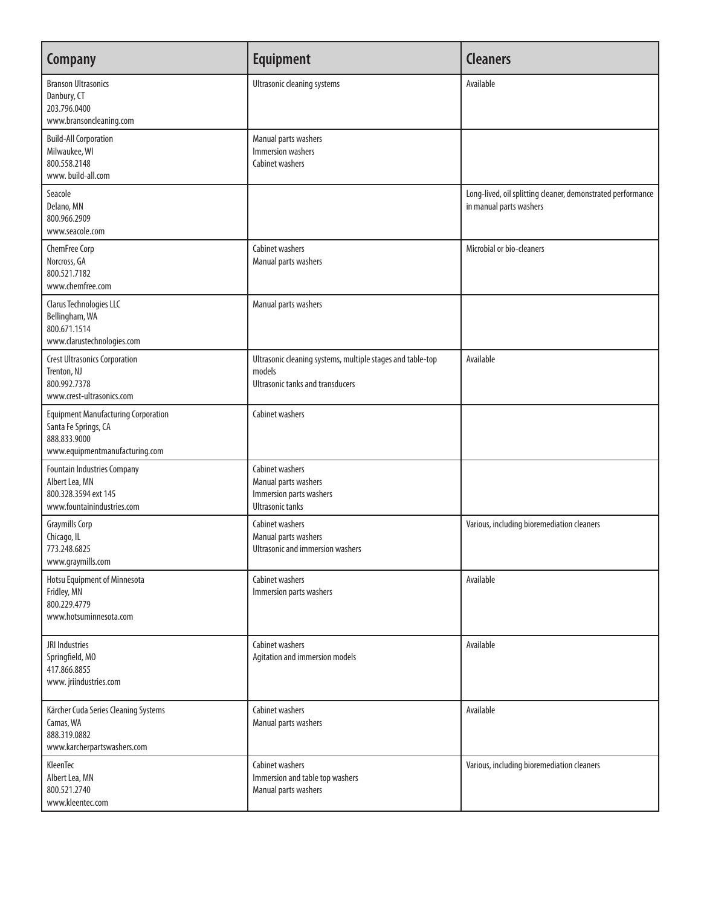| <b>Company</b>                                                                                                       | <b>Equipment</b>                                                                                                | <b>Cleaners</b>                                                                        |
|----------------------------------------------------------------------------------------------------------------------|-----------------------------------------------------------------------------------------------------------------|----------------------------------------------------------------------------------------|
| <b>Branson Ultrasonics</b><br>Danbury, CT<br>203.796.0400<br>www.bransoncleaning.com                                 | Ultrasonic cleaning systems                                                                                     | Available                                                                              |
| <b>Build-All Corporation</b><br>Milwaukee, WI<br>800.558.2148<br>www.build-all.com                                   | Manual parts washers<br>Immersion washers<br>Cabinet washers                                                    |                                                                                        |
| Seacole<br>Delano, MN<br>800.966.2909<br>www.seacole.com                                                             |                                                                                                                 | Long-lived, oil splitting cleaner, demonstrated performance<br>in manual parts washers |
| ChemFree Corp<br>Norcross, GA<br>800.521.7182<br>www.chemfree.com                                                    | Cabinet washers<br>Manual parts washers                                                                         | Microbial or bio-cleaners                                                              |
| Clarus Technologies LLC<br>Bellingham, WA<br>800.671.1514<br>www.clarustechnologies.com                              | Manual parts washers                                                                                            |                                                                                        |
| <b>Crest Ultrasonics Corporation</b><br>Trenton, NJ<br>800.992.7378<br>www.crest-ultrasonics.com                     | Ultrasonic cleaning systems, multiple stages and table-top<br>models<br><b>Ultrasonic tanks and transducers</b> | Available                                                                              |
| <b>Equipment Manufacturing Corporation</b><br>Santa Fe Springs, CA<br>888.833.9000<br>www.equipmentmanufacturing.com | Cabinet washers                                                                                                 |                                                                                        |
| <b>Fountain Industries Company</b><br>Albert Lea, MN<br>800.328.3594 ext 145<br>www.fountainindustries.com           | Cabinet washers<br>Manual parts washers<br>Immersion parts washers<br><b>Ultrasonic tanks</b>                   |                                                                                        |
| <b>Graymills Corp</b><br>Chicago, IL<br>773.248.6825<br>www.graymills.com                                            | Cabinet washers<br>Manual parts washers<br>Ultrasonic and immersion washers                                     | Various, including bioremediation cleaners                                             |
| Hotsu Equipment of Minnesota<br>Fridley, MN<br>800.229.4779<br>www.hotsuminnesota.com                                | Cabinet washers<br>Immersion parts washers                                                                      | Available                                                                              |
| JRI Industries<br>Springfield, MO<br>417.866.8855<br>www.jriindustries.com                                           | Cabinet washers<br>Agitation and immersion models                                                               | Available                                                                              |
| Kärcher Cuda Series Cleaning Systems<br>Camas, WA<br>888.319.0882<br>www.karcherpartswashers.com                     | Cabinet washers<br>Manual parts washers                                                                         | Available                                                                              |
| KleenTec<br>Albert Lea, MN<br>800.521.2740<br>www.kleentec.com                                                       | <b>Cabinet washers</b><br>Immersion and table top washers<br>Manual parts washers                               | Various, including bioremediation cleaners                                             |